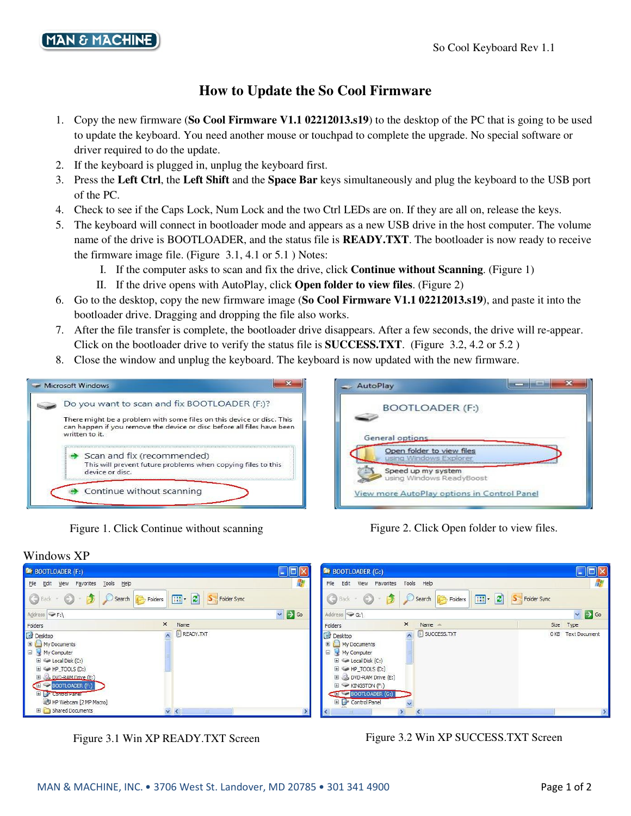## **How to Update the So Cool Firmware**

- 1. Copy the new firmware (**So Cool Firmware V1.1 02212013.s19**) to the desktop of the PC that is going to be used to update the keyboard. You need another mouse or touchpad to complete the upgrade. No special software or driver required to do the update.
- 2. If the keyboard is plugged in, unplug the keyboard first.
- 3. Press the **Left Ctrl**, the **Left Shift** and the **Space Bar** keys simultaneously and plug the keyboard to the USB port of the PC.
- 4. Check to see if the Caps Lock, Num Lock and the two Ctrl LEDs are on. If they are all on, release the keys.
- 5. The keyboard will connect in bootloader mode and appears as a new USB drive in the host computer. The volume name of the drive is BOOTLOADER, and the status file is **READY.TXT**. The bootloader is now ready to receive the firmware image file. (Figure 3.1, 4.1 or 5.1 ) Notes:
	- I. If the computer asks to scan and fix the drive, click **Continue without Scanning**. (Figure 1)
	- II. If the drive opens with AutoPlay, click **Open folder to view files**. (Figure 2)
- 6. Go to the desktop, copy the new firmware image (**So Cool Firmware V1.1 02212013.s19**), and paste it into the bootloader drive. Dragging and dropping the file also works.
- 7. After the file transfer is complete, the bootloader drive disappears. After a few seconds, the drive will re-appear. Click on the bootloader drive to verify the status file is **SUCCESS.TXT**. (Figure 3.2, 4.2 or 5.2 )
- 8. Close the window and unplug the keyboard. The keyboard is now updated with the new firmware.



Figure 1. Click Continue without scanning Figure 2. Click Open folder to view files.

Windows XP



| BOOTLOADER (F:)                                                                                                                                                                                                                                            |                                                                       | $L$ UX                  | BOOTLOADER (G:)                                                                                                                                                                                                      |                                    | $ .\ $ o $\ $ $\times$                   |
|------------------------------------------------------------------------------------------------------------------------------------------------------------------------------------------------------------------------------------------------------------|-----------------------------------------------------------------------|-------------------------|----------------------------------------------------------------------------------------------------------------------------------------------------------------------------------------------------------------------|------------------------------------|------------------------------------------|
| File Edit<br>View Favorites Tools Help                                                                                                                                                                                                                     |                                                                       |                         | File<br>Edit<br>View Favorites Tools Help                                                                                                                                                                            | M.                                 |                                          |
| Back - O - D O Search                                                                                                                                                                                                                                      | $\boxed{11}$ $\bullet$ $\boxed{2}$ $\boxed{5}$ Folder Sync<br>Folders |                         | $\bigodot$ Back $\cdot$ $\bigodot$                                                                                                                                                                                   | Search Folders                     | <b>11 - 2</b> S <sub>7</sub> Folder Sync |
| Address $\blacktriangleright$ F:\                                                                                                                                                                                                                          |                                                                       | $\vee$ $\rightarrow$ Go | Address $\bigcirc$ G:\                                                                                                                                                                                               |                                    | $\vee$ $\rightarrow$ Go                  |
| Folders                                                                                                                                                                                                                                                    | $\times$<br>Name                                                      |                         | Folders                                                                                                                                                                                                              | $\times$<br>Name $\triangle$       | Size Type                                |
| Desktop<br>E My Documents<br>My Computer<br>$\mathbb{H}$ $\blacktriangleright$ Local Disk (C:)<br>$\mathbb{H} \hookrightarrow \mathsf{HP\_TOOLS}$ (D:)<br>E & DVD-RAM Drive (E:)<br><b>ED</b> BOOTLOADER (F:)<br>E Control Panel<br>HP Webcam [2 MP Macro] | <b>E</b> READY.TXT                                                    |                         | <b>B</b> Desktop<br>E My Documents<br>My Computer<br>$\mathbb{H}$ $\mathbb{C}$ Local Disk (C:)<br>$H \subseteq H$ HP_TOOLS (D:)<br>DVD-RAM Drive (E:)<br>$E \cong$ KINGSTON (F:)<br>BOOTLOADER (G:)<br>Control Panel | <b>E</b> SUCCESS.TXT<br>$\lambda$  | 0 KB Text Document                       |
| Shared Documents                                                                                                                                                                                                                                           | $\vee$ <<br><b>RING</b>                                               |                         |                                                                                                                                                                                                                      | $\vert$ < $\vert$<br>$\rightarrow$ |                                          |

Figure 3.1 Win XP READY.TXT Screen Figure 3.2 Win XP SUCCESS.TXT Screen